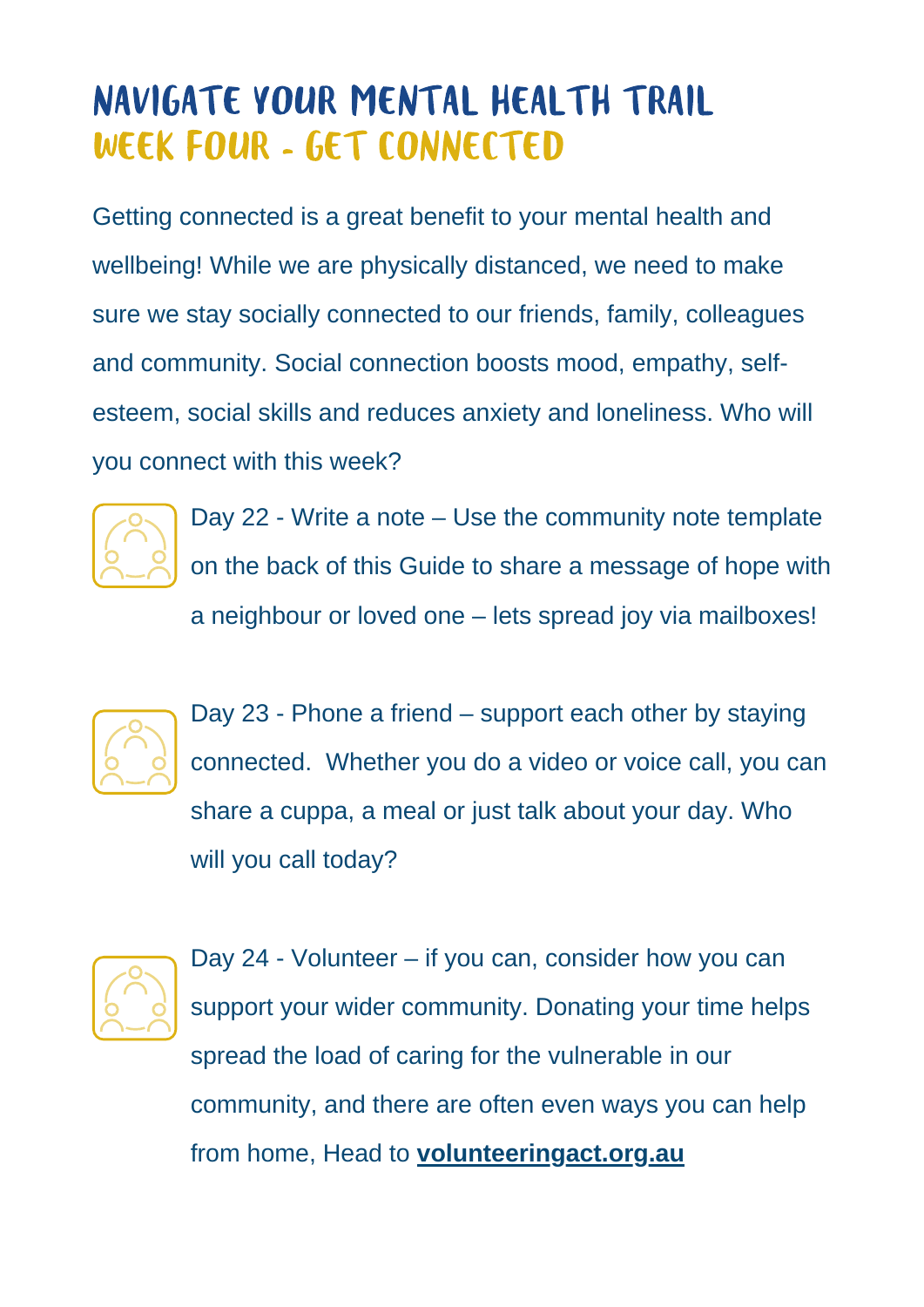## NAVIGATE YOUR MENTAL HEALTH TRAIL WEEK FOUR - GET CONNECTED

Getting connected is a great benefit to your mental health and wellbeing! While we are physically distanced, we need to make sure we stay socially connected to our friends, family, colleagues and community. Social connection boosts mood, empathy, selfesteem, social skills and reduces anxiety and loneliness. Who will you connect with this week?



Day 22 - Write a note – Use the community note template on the back of this Guide to share a message of hope with a neighbour or loved one – lets spread joy via mailboxes!



Day 23 - Phone a friend – support each other by staying connected. Whether you do a video or voice call, you can share a cuppa, a meal or just talk about your day. Who will you call today?



Day 24 - Volunteer – if you can, consider how you can support your wider community. Donating your time helps spread the load of caring for the vulnerable in our community, and there are often even ways you can help from home, Head to **[volunteeringact.org.au](http://www.volunteeringact.org.au/)**